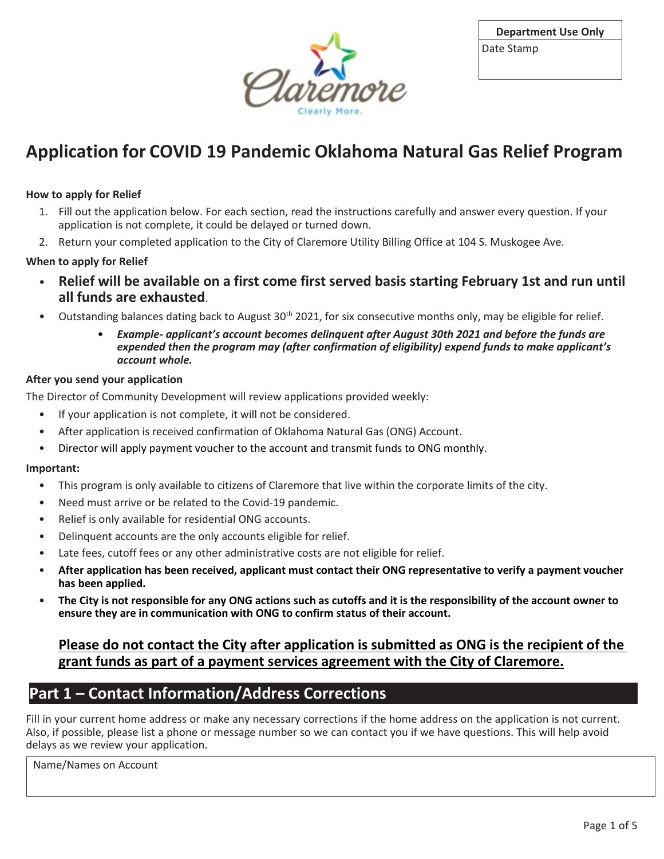

## **Application for COVID 19 Pandemic Oklahoma Natural Gas Relief Program**

### **How to apply for Relief**

- 1. Fill out the application below. For each section, read the instructions carefully and answer every question. If your application is not complete, it could be delayed or turned down.
- 2. Return your completed application to the City of Claremore Utility Billing Office at 104 S. Muskogee Ave.

### **When to apply for Relief**

- **Relief will be available on a first come first served basis starting February 1st and run until all funds are exhausted**.
- Outstanding balances dating back to August  $30<sup>th</sup>$  2021, for six consecutive months only, may be eligible for relief.
	- *Example- applicant's account becomes delinquent after August 30th 2021 and before the funds are expended then the program may (after confirmation of eligibility) expend funds to make applicant's account whole.*

#### **After you send your application**

The Director of Community Development will review applications provided weekly:

- If your application is not complete, it will not be considered.
- After application is received confirmation of Oklahoma Natural Gas (ONG) Account.
- Director will apply payment voucher to the account and transmit funds to ONG monthly.

#### **Important:**

- This program is only available to citizens of Claremore that live within the corporate limits of the city.
- Need must arrive or be related to the Covid-19 pandemic.
- Relief is only available for residential ONG accounts.
- Delinquent accounts are the only accounts eligible for relief.
- Late fees, cutoff fees or any other administrative costs are not eligible for relief.
- **After application has been received, applicant must contact their ONG representative to verify a payment voucher has been applied.**
- **The City is not responsible for any ONG actions such as cutoffs and it is the responsibility of the account owner to ensure they are in communication with ONG to confirm status of their account.**

### **Please do not contact the City after application is submitted as ONG is the recipient of the grant funds as part of a payment services agreement with the City of Claremore.**

### **Part 1 – Contact Information/Address Corrections**

Fill in your current home address or make any necessary corrections if the home address on the application is not current. Also, if possible, please list a phone or message number so we can contact you if we have questions. This will help avoid delays as we review your application.

Name/Names on Account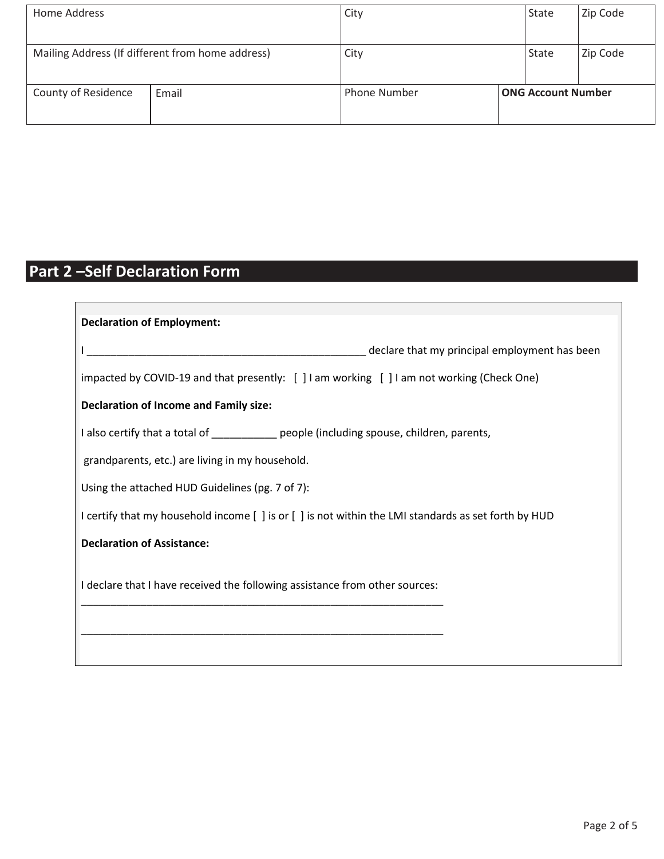| Home Address                                     |       | City                | State                     |  | Zip Code |
|--------------------------------------------------|-------|---------------------|---------------------------|--|----------|
| Mailing Address (If different from home address) |       | City                | State                     |  | Zip Code |
| County of Residence                              | Email | <b>Phone Number</b> | <b>ONG Account Number</b> |  |          |

# **Part 2 –Self Declaration Form**

| <b>Declaration of Employment:</b>                                                                    |  |  |  |  |  |
|------------------------------------------------------------------------------------------------------|--|--|--|--|--|
| declare that my principal employment has been                                                        |  |  |  |  |  |
| impacted by COVID-19 and that presently: [ ] I am working [ ] I am not working (Check One)           |  |  |  |  |  |
|                                                                                                      |  |  |  |  |  |
| <b>Declaration of Income and Family size:</b>                                                        |  |  |  |  |  |
| I also certify that a total of _________ people (including spouse, children, parents,                |  |  |  |  |  |
| grandparents, etc.) are living in my household.                                                      |  |  |  |  |  |
| Using the attached HUD Guidelines (pg. 7 of 7):                                                      |  |  |  |  |  |
| I certify that my household income [ ] is or [ ] is not within the LMI standards as set forth by HUD |  |  |  |  |  |
| <b>Declaration of Assistance:</b>                                                                    |  |  |  |  |  |
|                                                                                                      |  |  |  |  |  |
| I declare that I have received the following assistance from other sources:                          |  |  |  |  |  |
|                                                                                                      |  |  |  |  |  |
|                                                                                                      |  |  |  |  |  |
|                                                                                                      |  |  |  |  |  |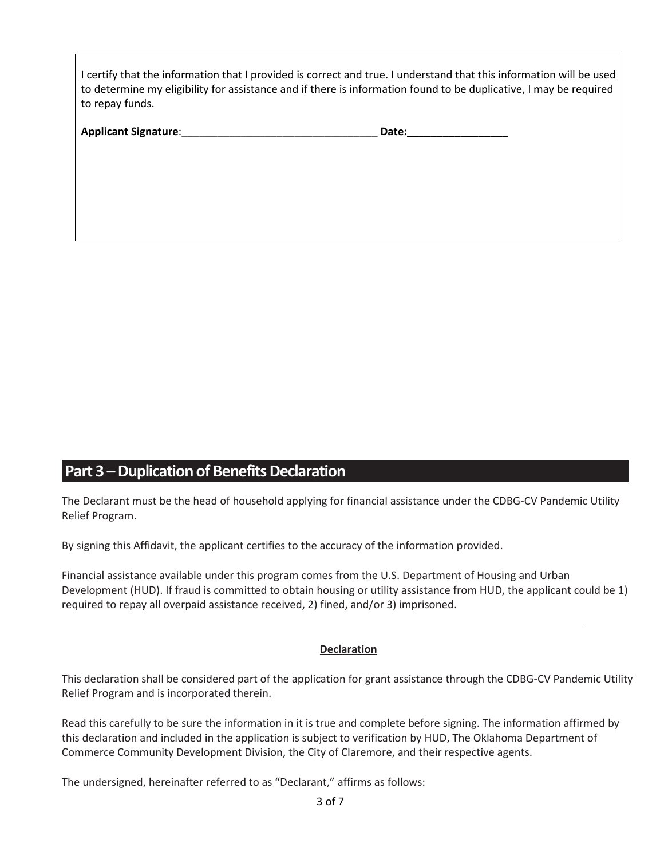| I certify that the information that I provided is correct and true. I understand that this information will be used |
|---------------------------------------------------------------------------------------------------------------------|
| to determine my eligibility for assistance and if there is information found to be duplicative, I may be required   |
| to repay funds.                                                                                                     |

| <b>Applicant Signature:</b> | Date: |
|-----------------------------|-------|
|                             |       |

### **Part 3 –Duplication of Benefits Declaration**

The Declarant must be the head of household applying for financial assistance under the CDBG-CV Pandemic Utility Relief Program.

By signing this Affidavit, the applicant certifies to the accuracy of the information provided.

Financial assistance available under this program comes from the U.S. Department of Housing and Urban Development (HUD). If fraud is committed to obtain housing or utility assistance from HUD, the applicant could be 1) required to repay all overpaid assistance received, 2) fined, and/or 3) imprisoned.

#### **Declaration**

This declaration shall be considered part of the application for grant assistance through the CDBG-CV Pandemic Utility Relief Program and is incorporated therein.

Read this carefully to be sure the information in it is true and complete before signing. The information affirmed by this declaration and included in the application is subject to verification by HUD, The Oklahoma Department of Commerce Community Development Division, the City of Claremore, and their respective agents.

The undersigned, hereinafter referred to as "Declarant," affirms as follows: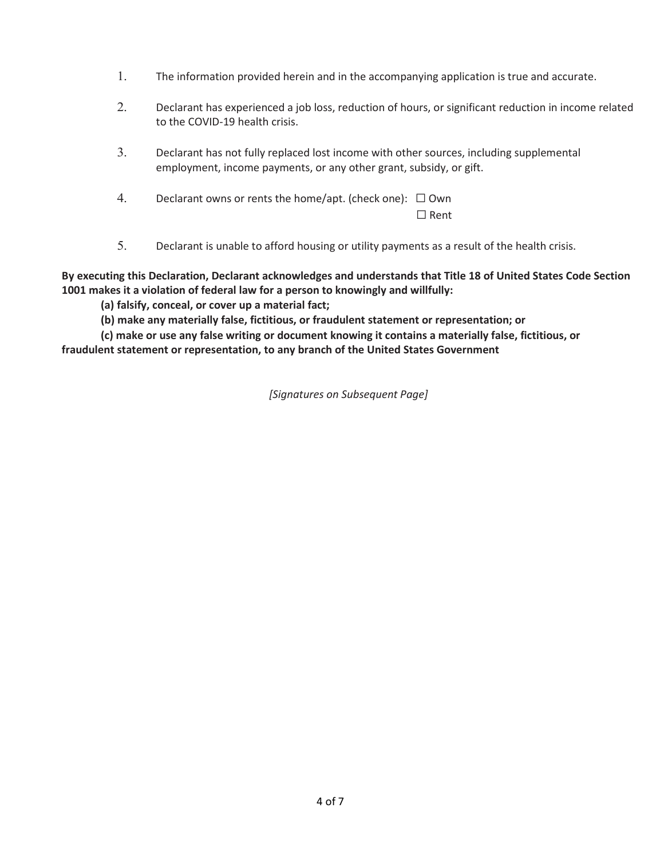- 1. The information provided herein and in the accompanying application is true and accurate.
- 2. Declarant has experienced a job loss, reduction of hours, or significant reduction in income related to the COVID-19 health crisis.
- 3. Declarant has not fully replaced lost income with other sources, including supplemental employment, income payments, or any other grant, subsidy, or gift.
- 4. Declarant owns or rents the home/apt. (check one):  $\Box$  Own ☐ Rent
- 5. Declarant is unable to afford housing or utility payments as a result of the health crisis.

**By executing this Declaration, Declarant acknowledges and understands that Title 18 of United States Code Section 1001 makes it a violation of federal law for a person to knowingly and willfully:**

**(a) falsify, conceal, or cover up a material fact;** 

**(b) make any materially false, fictitious, or fraudulent statement or representation; or** 

**(c) make or use any false writing or document knowing it contains a materially false, fictitious, or fraudulent statement or representation, to any branch of the United States Government**

*[Signatures on Subsequent Page]*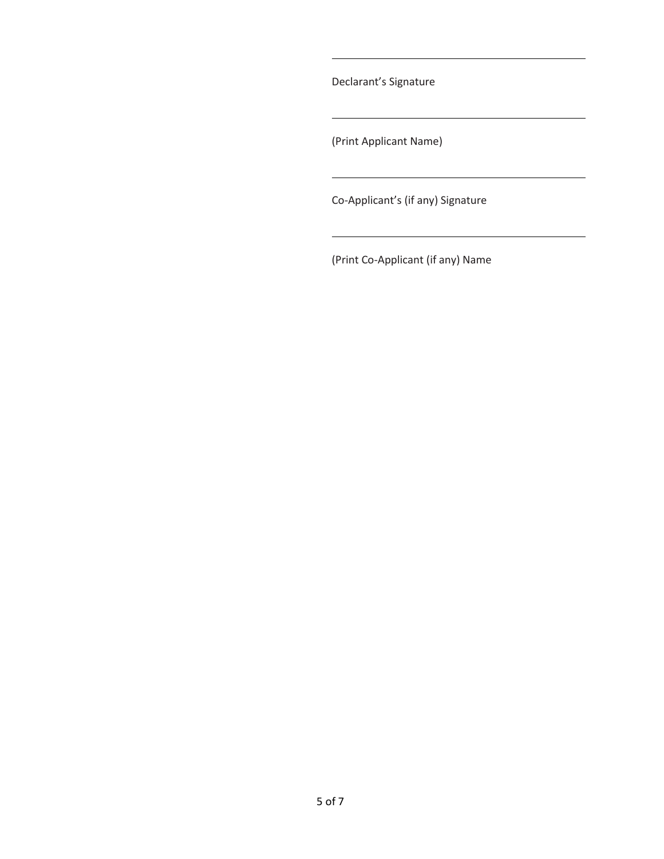Declarant's Signature

(Print Applicant Name)

Co-Applicant's (if any) Signature

(Print Co-Applicant (if any) Name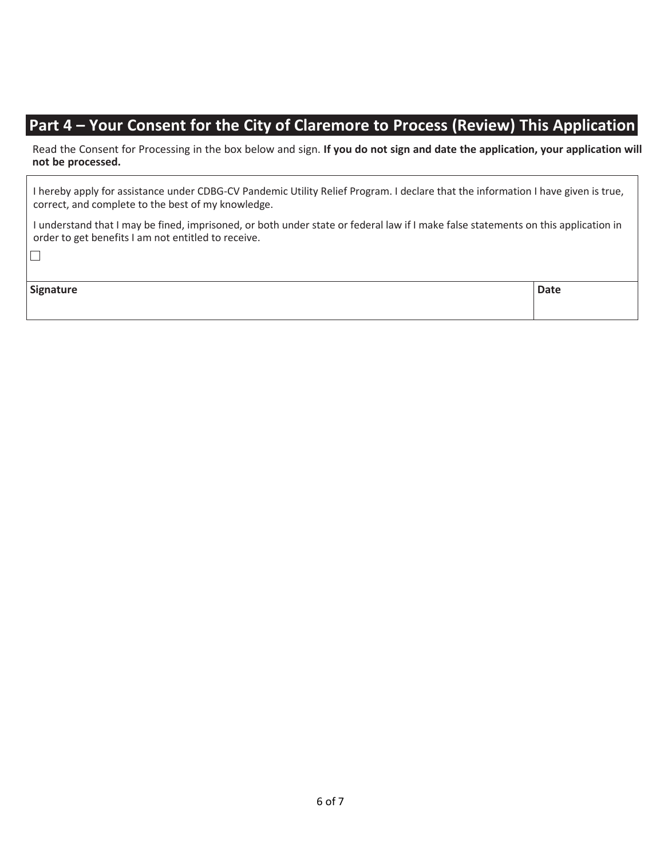## **Part 4 – Your Consent for the City of Claremore to Process (Review) This Application**

Read the Consent for Processing in the box below and sign. **If you do not sign and date the application, your application will not be processed.**

I hereby apply for assistance under CDBG-CV Pandemic Utility Relief Program. I declare that the information I have given is true, correct, and complete to the best of my knowledge.

I understand that I may be fined, imprisoned, or both under state or federal law if I make false statements on this application in order to get benefits I am not entitled to receive.

 $\overline{\phantom{a}}$ 

| Signature | <b>Date</b> |
|-----------|-------------|
|           |             |
|           |             |